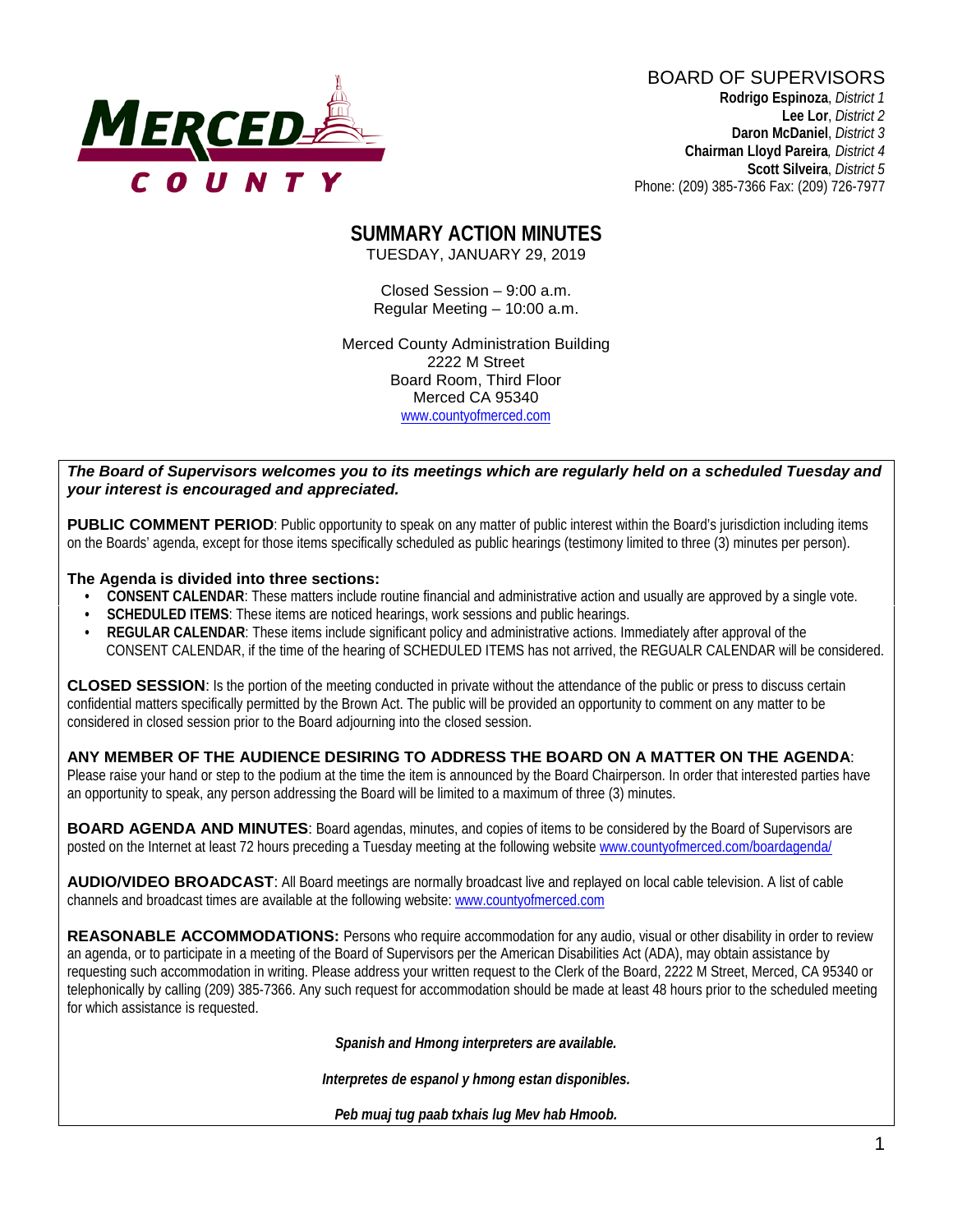

BOARD OF SUPERVISORS **Rodrigo Espinoza**, *District 1*  **Lee Lor**, *District 2*

 **Daron McDaniel**, *District 3* **Chairman Lloyd Pareira***, District 4*  **Scott Silveira**, *District 5* Phone: (209) 385-7366 Fax: (209) 726-7977

#### **SUMMARY ACTION MINUTES** TUESDAY, JANUARY 29, 2019

Closed Session – 9:00 a.m. Regular Meeting – 10:00 a.m.

Merced County Administration Building 2222 M Street Board Room, Third Floor Merced CA 95340 www.countyofmerced.com

#### *The Board of Supervisors welcomes you to its meetings which are regularly held on a scheduled Tuesday and your interest is encouraged and appreciated.*

**PUBLIC COMMENT PERIOD:** Public opportunity to speak on any matter of public interest within the Board's jurisdiction including items on the Boards' agenda, except for those items specifically scheduled as public hearings (testimony limited to three (3) minutes per person).

#### **The Agenda is divided into three sections:**

- **CONSENT CALENDAR**: These matters include routine financial and administrative action and usually are approved by a single vote.
- **SCHEDULED ITEMS:** These items are noticed hearings, work sessions and public hearings.
- **REGULAR CALENDAR**: These items include significant policy and administrative actions. Immediately after approval of the CONSENT CALENDAR, if the time of the hearing of SCHEDULED ITEMS has not arrived, the REGUALR CALENDAR will be considered.

**CLOSED SESSION**: Is the portion of the meeting conducted in private without the attendance of the public or press to discuss certain confidential matters specifically permitted by the Brown Act. The public will be provided an opportunity to comment on any matter to be considered in closed session prior to the Board adjourning into the closed session.

#### **ANY MEMBER OF THE AUDIENCE DESIRING TO ADDRESS THE BOARD ON A MATTER ON THE AGENDA**:

Please raise your hand or step to the podium at the time the item is announced by the Board Chairperson. In order that interested parties have an opportunity to speak, any person addressing the Board will be limited to a maximum of three (3) minutes.

**BOARD AGENDA AND MINUTES:** Board agendas, minutes, and copies of items to be considered by the Board of Supervisors are posted on the Internet at least 72 hours preceding a Tuesday meeting at the following website [www.countyofmerced.com/boardagenda/](http://www.countyofmerced.com/boardagenda/) 

**AUDIO/VIDEO BROADCAST**: All Board meetings are normally broadcast live and replayed on local cable television. A list of cable channels and broadcast times are available at the following website[: www.countyofmerced.com](http://www.countyofmerced.com/)

**REASONABLE ACCOMMODATIONS:** Persons who require accommodation for any audio, visual or other disability in order to review an agenda, or to participate in a meeting of the Board of Supervisors per the American Disabilities Act (ADA), may obtain assistance by requesting such accommodation in writing. Please address your written request to the Clerk of the Board, 2222 M Street, Merced, CA 95340 or telephonically by calling (209) 385-7366. Any such request for accommodation should be made at least 48 hours prior to the scheduled meeting for which assistance is requested.

*Spanish and Hmong interpreters are available.*

*Interpretes de espanol y hmong estan disponibles.*

*Peb muaj tug paab txhais lug Mev hab Hmoob.*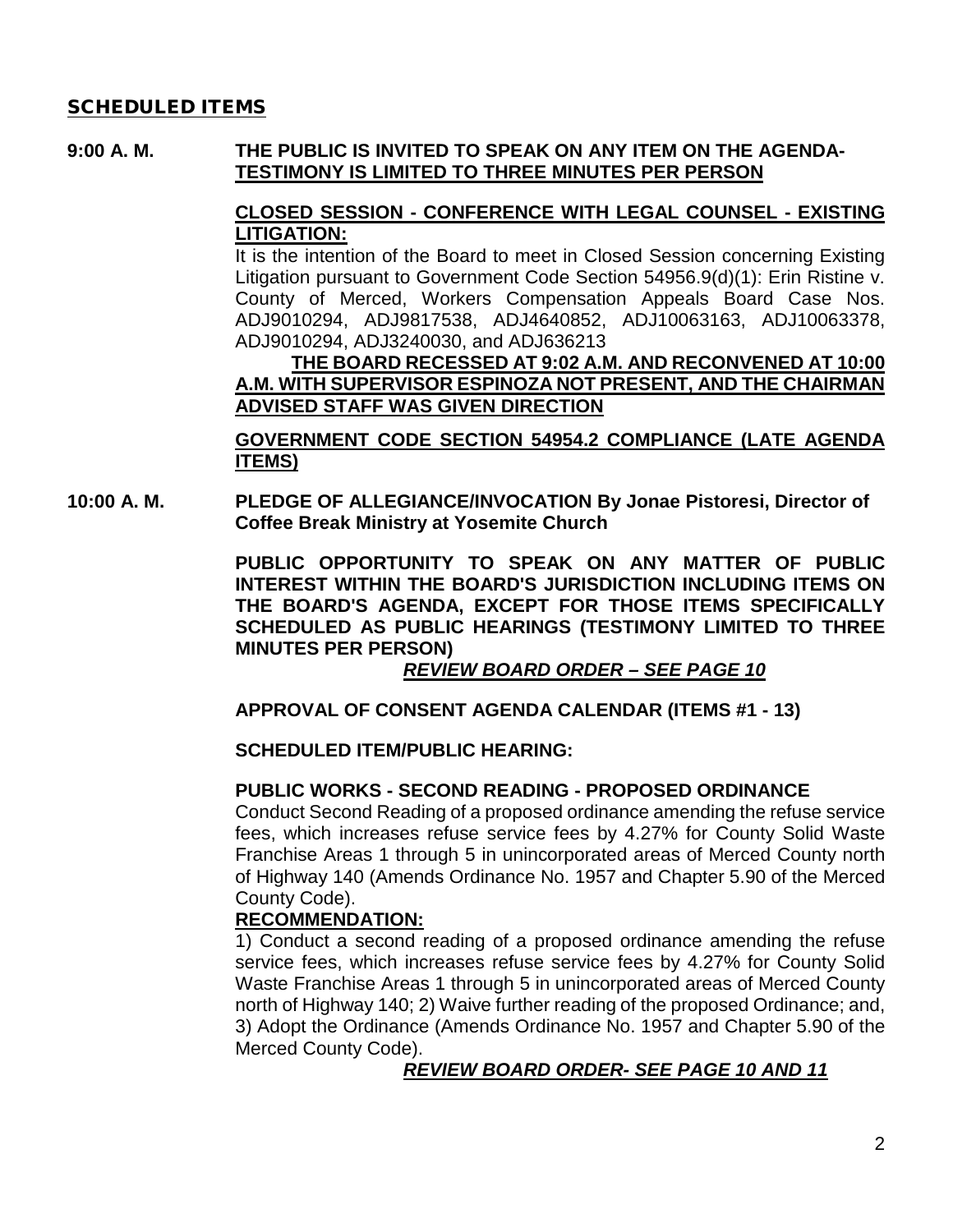#### SCHEDULED ITEMS

### **9:00 A. M. THE PUBLIC IS INVITED TO SPEAK ON ANY ITEM ON THE AGENDA-TESTIMONY IS LIMITED TO THREE MINUTES PER PERSON**

### **CLOSED SESSION - CONFERENCE WITH LEGAL COUNSEL - EXISTING LITIGATION:**

It is the intention of the Board to meet in Closed Session concerning Existing Litigation pursuant to Government Code Section 54956.9(d)(1): Erin Ristine v. County of Merced, Workers Compensation Appeals Board Case Nos. ADJ9010294, ADJ9817538, ADJ4640852, ADJ10063163, ADJ10063378, ADJ9010294, ADJ3240030, and ADJ636213

#### **THE BOARD RECESSED AT 9:02 A.M. AND RECONVENED AT 10:00 A.M. WITH SUPERVISOR ESPINOZA NOT PRESENT, AND THE CHAIRMAN ADVISED STAFF WAS GIVEN DIRECTION**

**GOVERNMENT CODE SECTION 54954.2 COMPLIANCE (LATE AGENDA ITEMS)**

**10:00 A. M. PLEDGE OF ALLEGIANCE/INVOCATION By Jonae Pistoresi, Director of Coffee Break Ministry at Yosemite Church**

> **PUBLIC OPPORTUNITY TO SPEAK ON ANY MATTER OF PUBLIC INTEREST WITHIN THE BOARD'S JURISDICTION INCLUDING ITEMS ON THE BOARD'S AGENDA, EXCEPT FOR THOSE ITEMS SPECIFICALLY SCHEDULED AS PUBLIC HEARINGS (TESTIMONY LIMITED TO THREE MINUTES PER PERSON)**

*REVIEW BOARD ORDER – SEE PAGE 10*

## **APPROVAL OF CONSENT AGENDA CALENDAR (ITEMS #1 - 13)**

#### **SCHEDULED ITEM/PUBLIC HEARING:**

#### **PUBLIC WORKS - SECOND READING - PROPOSED ORDINANCE**

Conduct Second Reading of a proposed ordinance amending the refuse service fees, which increases refuse service fees by 4.27% for County Solid Waste Franchise Areas 1 through 5 in unincorporated areas of Merced County north of Highway 140 (Amends Ordinance No. 1957 and Chapter 5.90 of the Merced County Code).

#### **RECOMMENDATION:**

1) Conduct a second reading of a proposed ordinance amending the refuse service fees, which increases refuse service fees by 4.27% for County Solid Waste Franchise Areas 1 through 5 in unincorporated areas of Merced County north of Highway 140; 2) Waive further reading of the proposed Ordinance; and, 3) Adopt the Ordinance (Amends Ordinance No. 1957 and Chapter 5.90 of the Merced County Code).

## *REVIEW BOARD ORDER- SEE PAGE 10 AND 11*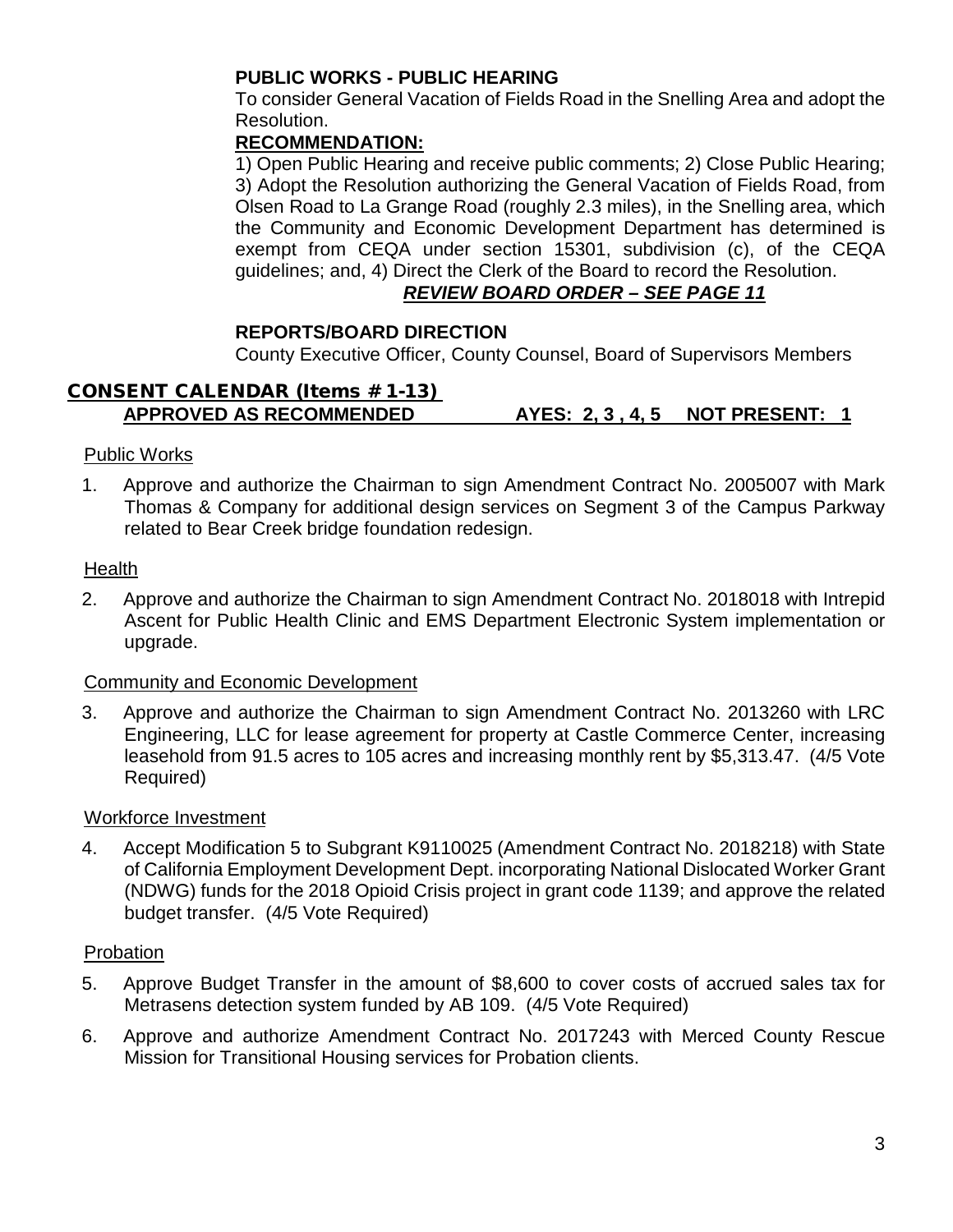## **PUBLIC WORKS - PUBLIC HEARING**

To consider General Vacation of Fields Road in the Snelling Area and adopt the Resolution.

## **RECOMMENDATION:**

1) Open Public Hearing and receive public comments; 2) Close Public Hearing; 3) Adopt the Resolution authorizing the General Vacation of Fields Road, from Olsen Road to La Grange Road (roughly 2.3 miles), in the Snelling area, which the Community and Economic Development Department has determined is exempt from CEQA under section 15301, subdivision (c), of the CEQA guidelines; and, 4) Direct the Clerk of the Board to record the Resolution.

## *REVIEW BOARD ORDER – SEE PAGE 11*

### **REPORTS/BOARD DIRECTION**

County Executive Officer, County Counsel, Board of Supervisors Members

## CONSENT CALENDAR (Items # 1-13) **APPROVED AS RECOMMENDED AYES: 2, 3 , 4, 5 NOT PRESENT: 1**

### Public Works

1. Approve and authorize the Chairman to sign Amendment Contract No. 2005007 with Mark Thomas & Company for additional design services on Segment 3 of the Campus Parkway related to Bear Creek bridge foundation redesign.

### Health

2. Approve and authorize the Chairman to sign Amendment Contract No. 2018018 with Intrepid Ascent for Public Health Clinic and EMS Department Electronic System implementation or upgrade.

#### Community and Economic Development

3. Approve and authorize the Chairman to sign Amendment Contract No. 2013260 with LRC Engineering, LLC for lease agreement for property at Castle Commerce Center, increasing leasehold from 91.5 acres to 105 acres and increasing monthly rent by \$5,313.47. (4/5 Vote Required)

#### Workforce Investment

4. Accept Modification 5 to Subgrant K9110025 (Amendment Contract No. 2018218) with State of California Employment Development Dept. incorporating National Dislocated Worker Grant (NDWG) funds for the 2018 Opioid Crisis project in grant code 1139; and approve the related budget transfer. (4/5 Vote Required)

#### Probation

- 5. Approve Budget Transfer in the amount of \$8,600 to cover costs of accrued sales tax for Metrasens detection system funded by AB 109. (4/5 Vote Required)
- 6. Approve and authorize Amendment Contract No. 2017243 with Merced County Rescue Mission for Transitional Housing services for Probation clients.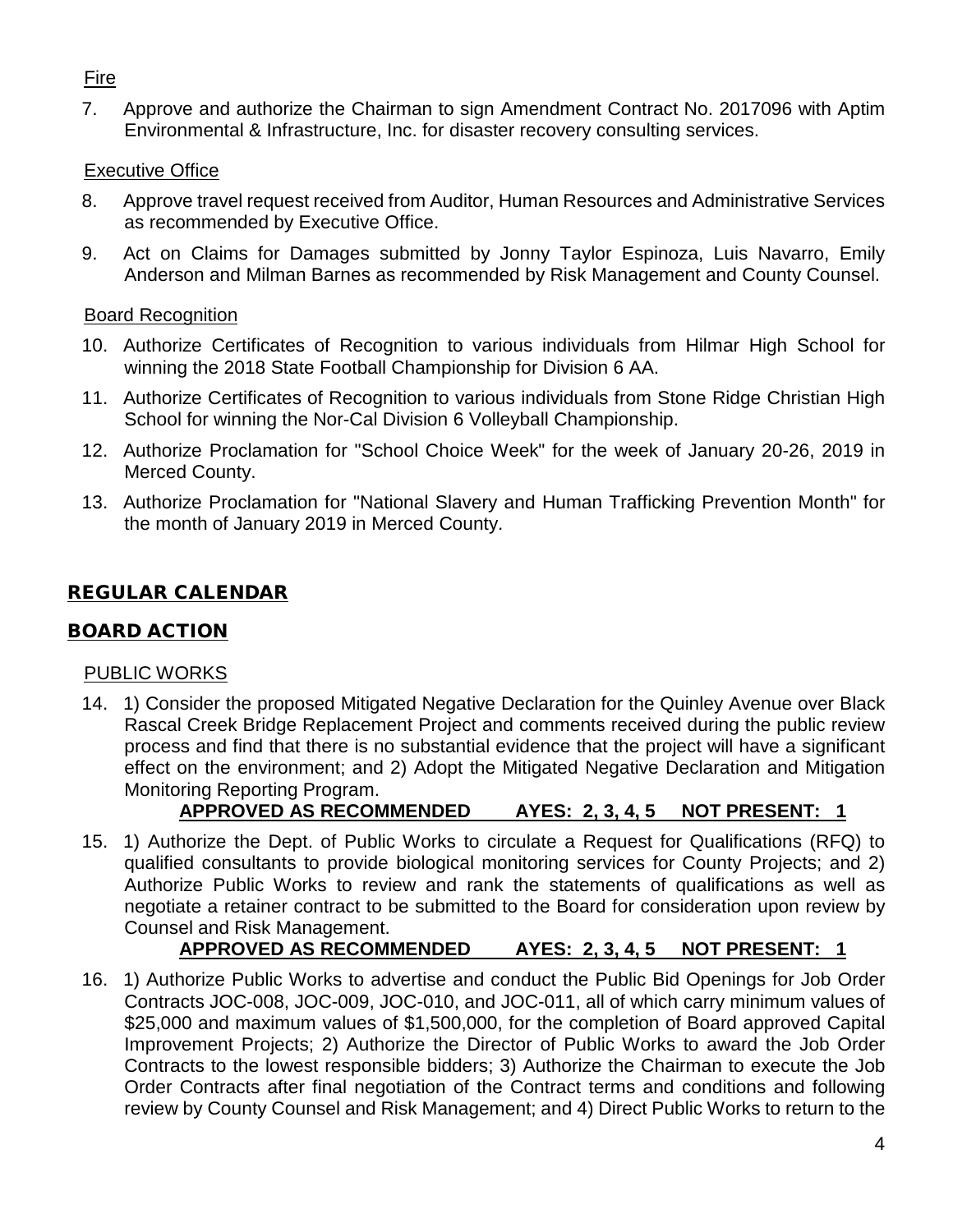## Fire

7. Approve and authorize the Chairman to sign Amendment Contract No. 2017096 with Aptim Environmental & Infrastructure, Inc. for disaster recovery consulting services.

## **Executive Office**

- 8. Approve travel request received from Auditor, Human Resources and Administrative Services as recommended by Executive Office.
- 9. Act on Claims for Damages submitted by Jonny Taylor Espinoza, Luis Navarro, Emily Anderson and Milman Barnes as recommended by Risk Management and County Counsel.

## Board Recognition

- 10. Authorize Certificates of Recognition to various individuals from Hilmar High School for winning the 2018 State Football Championship for Division 6 AA.
- 11. Authorize Certificates of Recognition to various individuals from Stone Ridge Christian High School for winning the Nor-Cal Division 6 Volleyball Championship.
- 12. Authorize Proclamation for "School Choice Week" for the week of January 20-26, 2019 in Merced County.
- 13. Authorize Proclamation for "National Slavery and Human Trafficking Prevention Month" for the month of January 2019 in Merced County.

# REGULAR CALENDAR

## BOARD ACTION

## PUBLIC WORKS

14. 1) Consider the proposed Mitigated Negative Declaration for the Quinley Avenue over Black Rascal Creek Bridge Replacement Project and comments received during the public review process and find that there is no substantial evidence that the project will have a significant effect on the environment; and 2) Adopt the Mitigated Negative Declaration and Mitigation Monitoring Reporting Program.

# **APPROVED AS RECOMMENDED AYES: 2, 3, 4, 5 NOT PRESENT: 1**

15. 1) Authorize the Dept. of Public Works to circulate a Request for Qualifications (RFQ) to qualified consultants to provide biological monitoring services for County Projects; and 2) Authorize Public Works to review and rank the statements of qualifications as well as negotiate a retainer contract to be submitted to the Board for consideration upon review by Counsel and Risk Management.

# **APPROVED AS RECOMMENDED AYES: 2, 3, 4, 5 NOT PRESENT: 1**

16. 1) Authorize Public Works to advertise and conduct the Public Bid Openings for Job Order Contracts JOC-008, JOC-009, JOC-010, and JOC-011, all of which carry minimum values of \$25,000 and maximum values of \$1,500,000, for the completion of Board approved Capital Improvement Projects; 2) Authorize the Director of Public Works to award the Job Order Contracts to the lowest responsible bidders; 3) Authorize the Chairman to execute the Job Order Contracts after final negotiation of the Contract terms and conditions and following review by County Counsel and Risk Management; and 4) Direct Public Works to return to the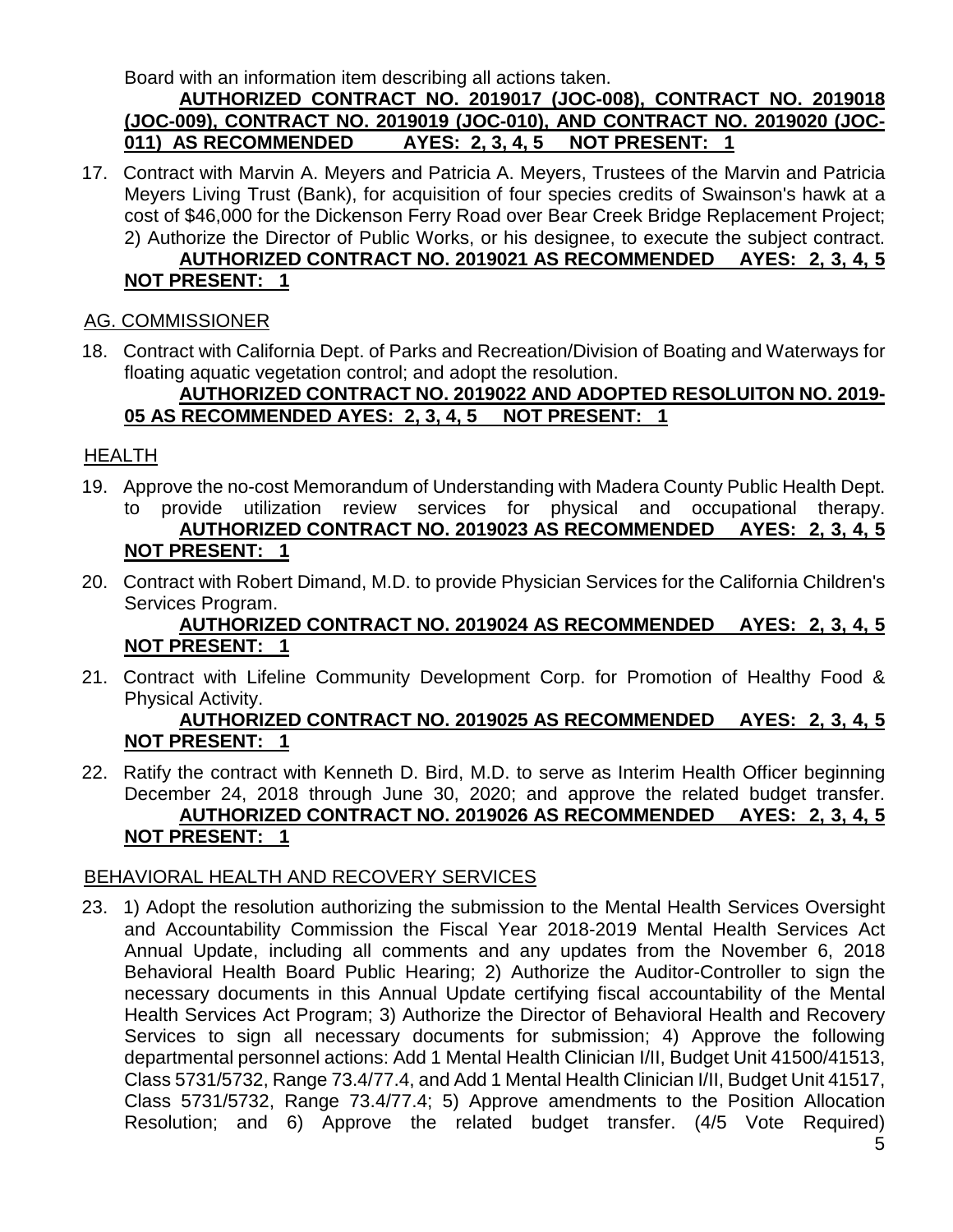Board with an information item describing all actions taken.

### **AUTHORIZED CONTRACT NO. 2019017 (JOC-008), CONTRACT NO. 2019018 (JOC-009), CONTRACT NO. 2019019 (JOC-010), AND CONTRACT NO. 2019020 (JOC-011) AS RECOMMENDED AYES: 2, 3, 4, 5 NOT PRESENT: 1**

17. Contract with Marvin A. Meyers and Patricia A. Meyers, Trustees of the Marvin and Patricia Meyers Living Trust (Bank), for acquisition of four species credits of Swainson's hawk at a cost of \$46,000 for the Dickenson Ferry Road over Bear Creek Bridge Replacement Project; 2) Authorize the Director of Public Works, or his designee, to execute the subject contract. **AUTHORIZED CONTRACT NO. 2019021 AS RECOMMENDED AYES: 2, 3, 4, 5 NOT PRESENT: 1**

## AG. COMMISSIONER

18. Contract with California Dept. of Parks and Recreation/Division of Boating and Waterways for floating aquatic vegetation control; and adopt the resolution.

### **AUTHORIZED CONTRACT NO. 2019022 AND ADOPTED RESOLUITON NO. 2019- 05 AS RECOMMENDED AYES: 2, 3, 4, 5 NOT PRESENT: 1**

## HEALTH

- 19. Approve the no-cost Memorandum of Understanding with Madera County Public Health Dept. to provide utilization review services for physical and occupational therapy. **AUTHORIZED CONTRACT NO. 2019023 AS RECOMMENDED AYES: 2, 3, 4, 5 NOT PRESENT: 1**
- 20. Contract with Robert Dimand, M.D. to provide Physician Services for the California Children's Services Program.

## **AUTHORIZED CONTRACT NO. 2019024 AS RECOMMENDED AYES: 2, 3, 4, 5 NOT PRESENT: 1**

21. Contract with Lifeline Community Development Corp. for Promotion of Healthy Food & Physical Activity.

### **AUTHORIZED CONTRACT NO. 2019025 AS RECOMMENDED AYES: 2, 3, 4, 5 NOT PRESENT: 1**

22. Ratify the contract with Kenneth D. Bird, M.D. to serve as Interim Health Officer beginning December 24, 2018 through June 30, 2020; and approve the related budget transfer. **AUTHORIZED CONTRACT NO. 2019026 AS RECOMMENDED AYES: 2, 3, 4, 5 NOT PRESENT: 1**

## BEHAVIORAL HEALTH AND RECOVERY SERVICES

23. 1) Adopt the resolution authorizing the submission to the Mental Health Services Oversight and Accountability Commission the Fiscal Year 2018-2019 Mental Health Services Act Annual Update, including all comments and any updates from the November 6, 2018 Behavioral Health Board Public Hearing; 2) Authorize the Auditor-Controller to sign the necessary documents in this Annual Update certifying fiscal accountability of the Mental Health Services Act Program; 3) Authorize the Director of Behavioral Health and Recovery Services to sign all necessary documents for submission; 4) Approve the following departmental personnel actions: Add 1 Mental Health Clinician I/II, Budget Unit 41500/41513, Class 5731/5732, Range 73.4/77.4, and Add 1 Mental Health Clinician I/II, Budget Unit 41517, Class 5731/5732, Range 73.4/77.4; 5) Approve amendments to the Position Allocation Resolution; and 6) Approve the related budget transfer. (4/5 Vote Required)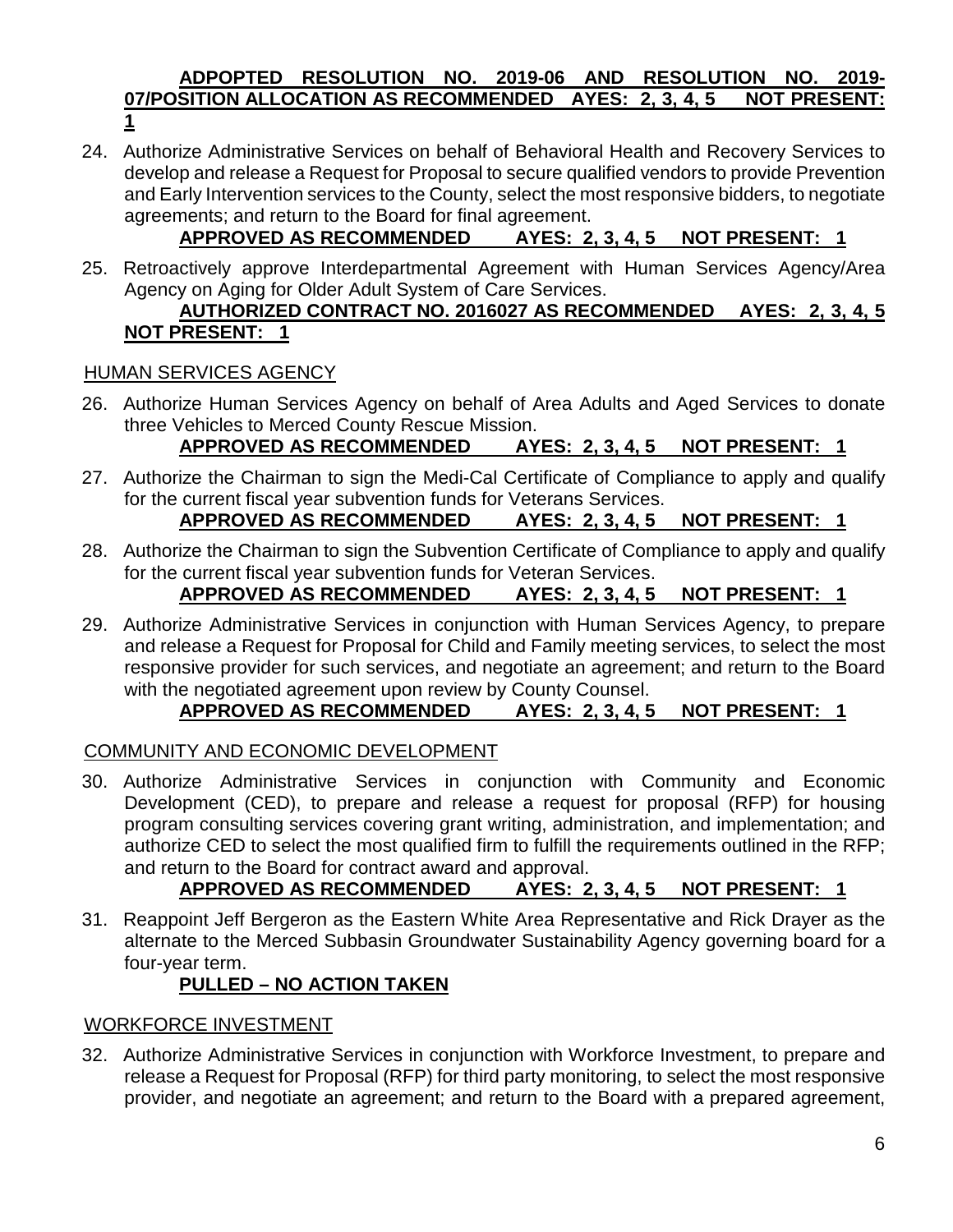### **ADPOPTED RESOLUTION NO. 2019-06 AND RESOLUTION NO. 2019- 07/POSITION ALLOCATION AS RECOMMENDED AYES: 2, 3, 4, 5 NOT PRESENT: 1**

24. Authorize Administrative Services on behalf of Behavioral Health and Recovery Services to develop and release a Request for Proposal to secure qualified vendors to provide Prevention and Early Intervention services to the County, select the most responsive bidders, to negotiate agreements; and return to the Board for final agreement.

# **APPROVED AS RECOMMENDED AYES: 2, 3, 4, 5 NOT PRESENT: 1**

25. Retroactively approve Interdepartmental Agreement with Human Services Agency/Area Agency on Aging for Older Adult System of Care Services.

## **AUTHORIZED CONTRACT NO. 2016027 AS RECOMMENDED AYES: 2, 3, 4, 5 NOT PRESENT: 1**

## HUMAN SERVICES AGENCY

26. Authorize Human Services Agency on behalf of Area Adults and Aged Services to donate three Vehicles to Merced County Rescue Mission.

# **APPROVED AS RECOMMENDED AYES: 2, 3, 4, 5 NOT PRESENT: 1**

27. Authorize the Chairman to sign the Medi-Cal Certificate of Compliance to apply and qualify for the current fiscal year subvention funds for Veterans Services.

## **APPROVED AS RECOMMENDED AYES: 2, 3, 4, 5 NOT PRESENT: 1**

28. Authorize the Chairman to sign the Subvention Certificate of Compliance to apply and qualify for the current fiscal year subvention funds for Veteran Services.

## **APPROVED AS RECOMMENDED AYES: 2, 3, 4, 5 NOT PRESENT: 1**

29. Authorize Administrative Services in conjunction with Human Services Agency, to prepare and release a Request for Proposal for Child and Family meeting services, to select the most responsive provider for such services, and negotiate an agreement; and return to the Board with the negotiated agreement upon review by County Counsel.

## **APPROVED AS RECOMMENDED AYES: 2, 3, 4, 5 NOT PRESENT: 1**

## COMMUNITY AND ECONOMIC DEVELOPMENT

30. Authorize Administrative Services in conjunction with Community and Economic Development (CED), to prepare and release a request for proposal (RFP) for housing program consulting services covering grant writing, administration, and implementation; and authorize CED to select the most qualified firm to fulfill the requirements outlined in the RFP; and return to the Board for contract award and approval.

## **APPROVED AS RECOMMENDED AYES: 2, 3, 4, 5 NOT PRESENT: 1**

31. Reappoint Jeff Bergeron as the Eastern White Area Representative and Rick Drayer as the alternate to the Merced Subbasin Groundwater Sustainability Agency governing board for a four-year term.

## **PULLED – NO ACTION TAKEN**

## WORKFORCE INVESTMENT

32. Authorize Administrative Services in conjunction with Workforce Investment, to prepare and release a Request for Proposal (RFP) for third party monitoring, to select the most responsive provider, and negotiate an agreement; and return to the Board with a prepared agreement,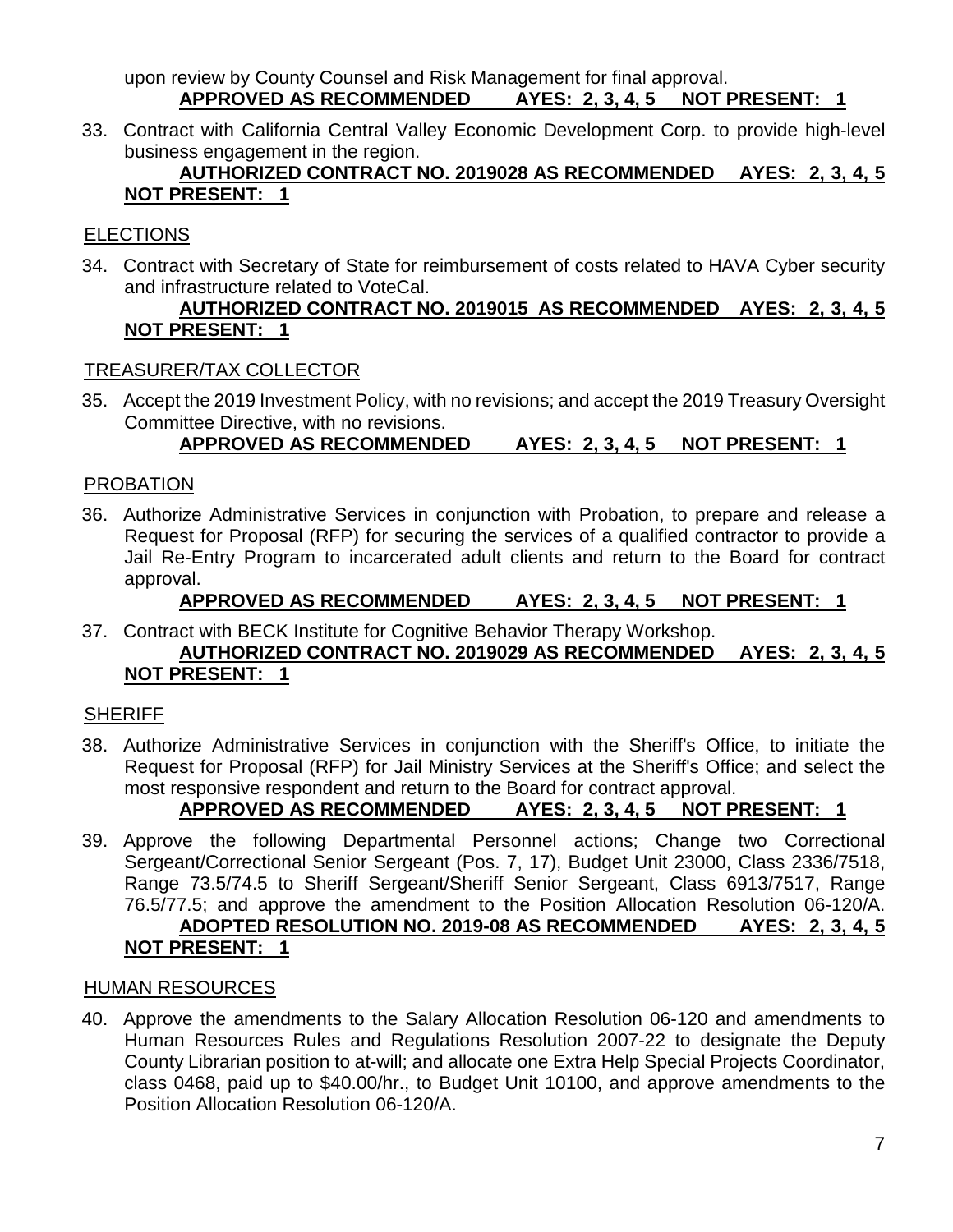upon review by County Counsel and Risk Management for final approval. **APPROVED AS RECOMMENDED AYES: 2, 3, 4, 5 NOT PRESENT: 1**

33. Contract with California Central Valley Economic Development Corp. to provide high-level business engagement in the region.

## **AUTHORIZED CONTRACT NO. 2019028 AS RECOMMENDED AYES: 2, 3, 4, 5 NOT PRESENT: 1**

## **ELECTIONS**

34. Contract with Secretary of State for reimbursement of costs related to HAVA Cyber security and infrastructure related to VoteCal.

## **AUTHORIZED CONTRACT NO. 2019015 AS RECOMMENDED AYES: 2, 3, 4, 5 NOT PRESENT: 1**

## TREASURER/TAX COLLECTOR

35. Accept the 2019 Investment Policy, with no revisions; and accept the 2019 Treasury Oversight Committee Directive, with no revisions.

## **APPROVED AS RECOMMENDED AYES: 2, 3, 4, 5 NOT PRESENT: 1**

## PROBATION

36. Authorize Administrative Services in conjunction with Probation, to prepare and release a Request for Proposal (RFP) for securing the services of a qualified contractor to provide a Jail Re-Entry Program to incarcerated adult clients and return to the Board for contract approval.

## **APPROVED AS RECOMMENDED AYES: 2, 3, 4, 5 NOT PRESENT: 1**

#### 37. Contract with BECK Institute for Cognitive Behavior Therapy Workshop. **AUTHORIZED CONTRACT NO. 2019029 AS RECOMMENDED AYES: 2, 3, 4, 5 NOT PRESENT: 1**

## **SHERIFF**

38. Authorize Administrative Services in conjunction with the Sheriff's Office, to initiate the Request for Proposal (RFP) for Jail Ministry Services at the Sheriff's Office; and select the most responsive respondent and return to the Board for contract approval.

## **APPROVED AS RECOMMENDED AYES: 2, 3, 4, 5 NOT PRESENT: 1**

39. Approve the following Departmental Personnel actions; Change two Correctional Sergeant/Correctional Senior Sergeant (Pos. 7, 17), Budget Unit 23000, Class 2336/7518, Range 73.5/74.5 to Sheriff Sergeant/Sheriff Senior Sergeant, Class 6913/7517, Range 76.5/77.5; and approve the amendment to the Position Allocation Resolution 06-120/A. **ADOPTED RESOLUTION NO. 2019-08 AS RECOMMENDED AYES: 2, 3, 4, 5 NOT PRESENT: 1**

#### HUMAN RESOURCES

40. Approve the amendments to the Salary Allocation Resolution 06-120 and amendments to Human Resources Rules and Regulations Resolution 2007-22 to designate the Deputy County Librarian position to at-will; and allocate one Extra Help Special Projects Coordinator, class 0468, paid up to \$40.00/hr., to Budget Unit 10100, and approve amendments to the Position Allocation Resolution 06-120/A.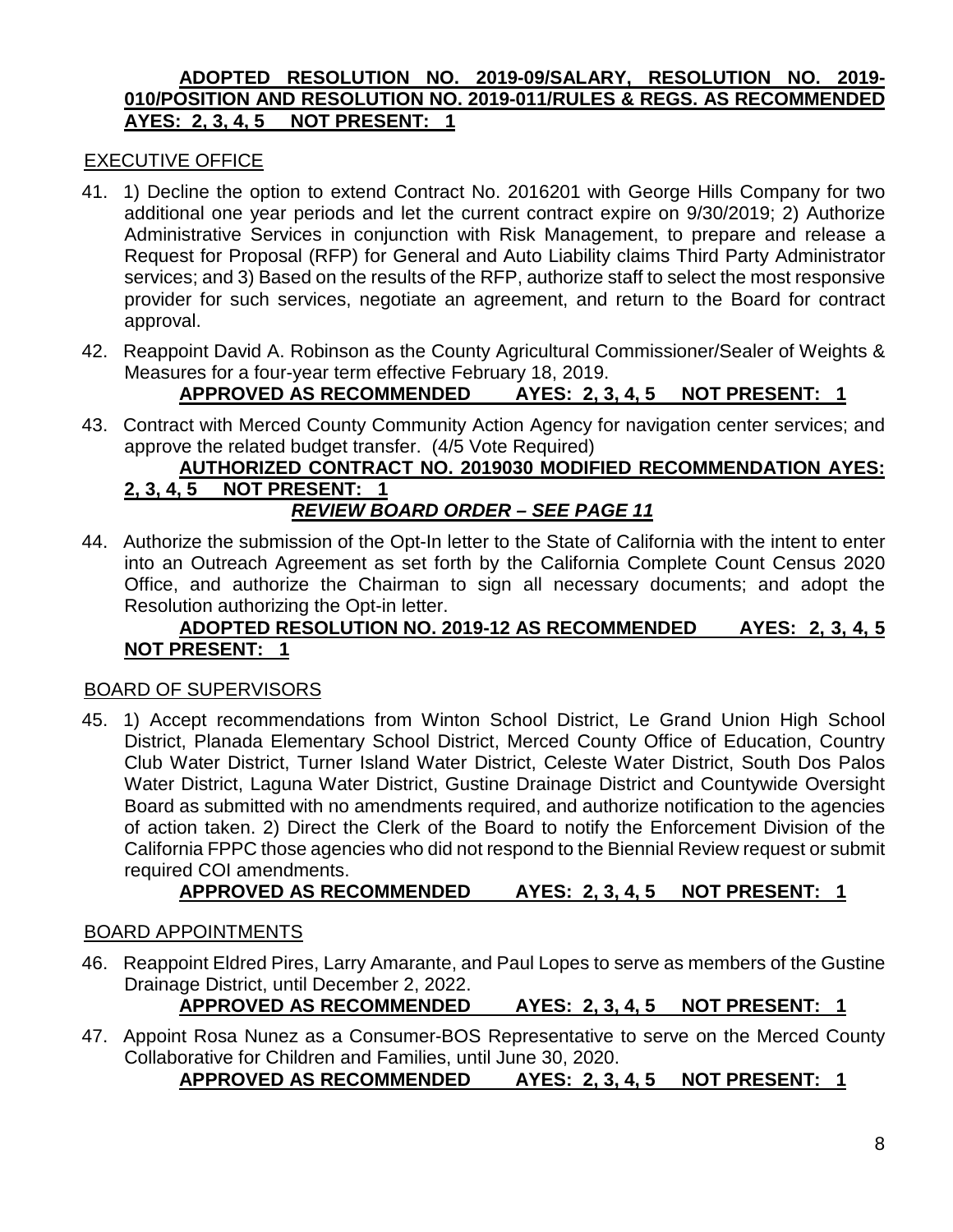#### **ADOPTED RESOLUTION NO. 2019-09/SALARY, RESOLUTION NO. 2019- 010/POSITION AND RESOLUTION NO. 2019-011/RULES & REGS. AS RECOMMENDED AYES: 2, 3, 4, 5 NOT PRESENT: 1**

## EXECUTIVE OFFICE

- 41. 1) Decline the option to extend Contract No. 2016201 with George Hills Company for two additional one year periods and let the current contract expire on 9/30/2019; 2) Authorize Administrative Services in conjunction with Risk Management, to prepare and release a Request for Proposal (RFP) for General and Auto Liability claims Third Party Administrator services; and 3) Based on the results of the RFP, authorize staff to select the most responsive provider for such services, negotiate an agreement, and return to the Board for contract approval.
- 42. Reappoint David A. Robinson as the County Agricultural Commissioner/Sealer of Weights & Measures for a four-year term effective February 18, 2019.

## **APPROVED AS RECOMMENDED AYES: 2, 3, 4, 5 NOT PRESENT: 1**

43. Contract with Merced County Community Action Agency for navigation center services; and approve the related budget transfer. (4/5 Vote Required)

#### **AUTHORIZED CONTRACT NO. 2019030 MODIFIED RECOMMENDATION AYES: 2, 3, 4, 5 NOT PRESENT: 1** *REVIEW BOARD ORDER – SEE PAGE 11*

44. Authorize the submission of the Opt-In letter to the State of California with the intent to enter into an Outreach Agreement as set forth by the California Complete Count Census 2020 Office, and authorize the Chairman to sign all necessary documents; and adopt the Resolution authorizing the Opt-in letter.

### **ADOPTED RESOLUTION NO. 2019-12 AS RECOMMENDED AYES: 2, 3, 4, 5 NOT PRESENT: 1**

#### BOARD OF SUPERVISORS

45. 1) Accept recommendations from Winton School District, Le Grand Union High School District, Planada Elementary School District, Merced County Office of Education, Country Club Water District, Turner Island Water District, Celeste Water District, South Dos Palos Water District, Laguna Water District, Gustine Drainage District and Countywide Oversight Board as submitted with no amendments required, and authorize notification to the agencies of action taken. 2) Direct the Clerk of the Board to notify the Enforcement Division of the California FPPC those agencies who did not respond to the Biennial Review request or submit required COI amendments.

## **APPROVED AS RECOMMENDED AYES: 2, 3, 4, 5 NOT PRESENT: 1**

#### BOARD APPOINTMENTS

46. Reappoint Eldred Pires, Larry Amarante, and Paul Lopes to serve as members of the Gustine Drainage District, until December 2, 2022.

## **APPROVED AS RECOMMENDED AYES: 2, 3, 4, 5 NOT PRESENT: 1**

47. Appoint Rosa Nunez as a Consumer-BOS Representative to serve on the Merced County Collaborative for Children and Families, until June 30, 2020.

**APPROVED AS RECOMMENDED AYES: 2, 3, 4, 5 NOT PRESENT: 1**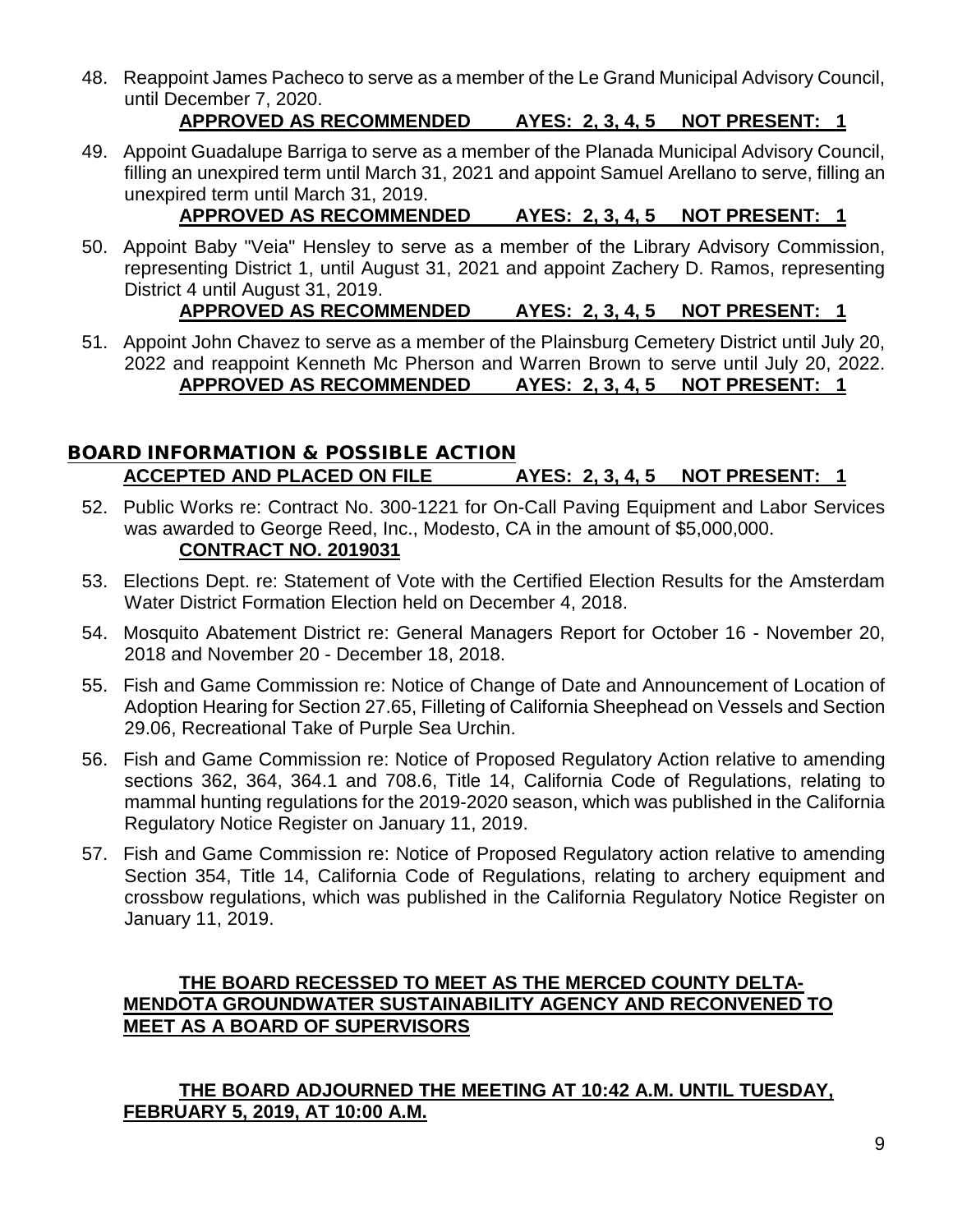48. Reappoint James Pacheco to serve as a member of the Le Grand Municipal Advisory Council, until December 7, 2020.

## **APPROVED AS RECOMMENDED AYES: 2, 3, 4, 5 NOT PRESENT: 1**

49. Appoint Guadalupe Barriga to serve as a member of the Planada Municipal Advisory Council, filling an unexpired term until March 31, 2021 and appoint Samuel Arellano to serve, filling an unexpired term until March 31, 2019.

## **APPROVED AS RECOMMENDED AYES: 2, 3, 4, 5 NOT PRESENT: 1**

- 50. Appoint Baby "Veia" Hensley to serve as a member of the Library Advisory Commission, representing District 1, until August 31, 2021 and appoint Zachery D. Ramos, representing District 4 until August 31, 2019. **APPROVED AS RECOMMENDED AYES: 2, 3, 4, 5 NOT PRESENT: 1**
- 51. Appoint John Chavez to serve as a member of the Plainsburg Cemetery District until July 20, 2022 and reappoint Kenneth Mc Pherson and Warren Brown to serve until July 20, 2022. **APPROVED AS RECOMMENDED AYES: 2, 3, 4, 5 NOT PRESENT: 1**

## BOARD INFORMATION & POSSIBLE ACTION **ACCEPTED AND PLACED ON FILE AYES: 2, 3, 4, 5 NOT PRESENT: 1**

- 52. Public Works re: Contract No. 300-1221 for On-Call Paving Equipment and Labor Services was awarded to George Reed, Inc., Modesto, CA in the amount of \$5,000,000. **CONTRACT NO. 2019031**
- 53. Elections Dept. re: Statement of Vote with the Certified Election Results for the Amsterdam Water District Formation Election held on December 4, 2018.
- 54. Mosquito Abatement District re: General Managers Report for October 16 November 20, 2018 and November 20 - December 18, 2018.
- 55. Fish and Game Commission re: Notice of Change of Date and Announcement of Location of Adoption Hearing for Section 27.65, Filleting of California Sheephead on Vessels and Section 29.06, Recreational Take of Purple Sea Urchin.
- 56. Fish and Game Commission re: Notice of Proposed Regulatory Action relative to amending sections 362, 364, 364.1 and 708.6, Title 14, California Code of Regulations, relating to mammal hunting regulations for the 2019-2020 season, which was published in the California Regulatory Notice Register on January 11, 2019.
- 57. Fish and Game Commission re: Notice of Proposed Regulatory action relative to amending Section 354, Title 14, California Code of Regulations, relating to archery equipment and crossbow regulations, which was published in the California Regulatory Notice Register on January 11, 2019.

## **THE BOARD RECESSED TO MEET AS THE MERCED COUNTY DELTA-MENDOTA GROUNDWATER SUSTAINABILITY AGENCY AND RECONVENED TO MEET AS A BOARD OF SUPERVISORS**

## **THE BOARD ADJOURNED THE MEETING AT 10:42 A.M. UNTIL TUESDAY, FEBRUARY 5, 2019, AT 10:00 A.M.**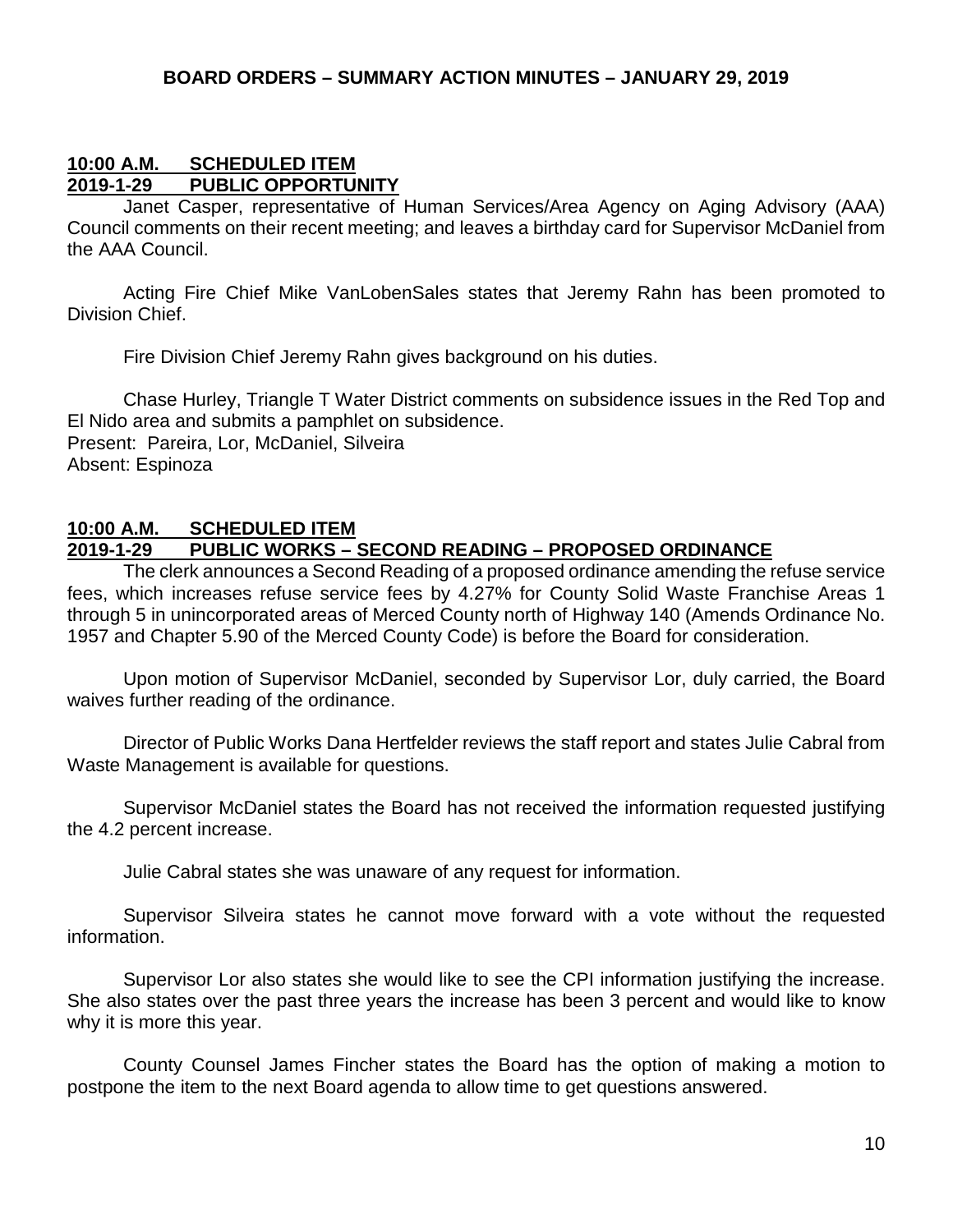#### **10:00 A.M. SCHEDULED ITEM 2019-1-29 PUBLIC OPPORTUNITY**

Janet Casper, representative of Human Services/Area Agency on Aging Advisory (AAA) Council comments on their recent meeting; and leaves a birthday card for Supervisor McDaniel from the AAA Council.

Acting Fire Chief Mike VanLobenSales states that Jeremy Rahn has been promoted to Division Chief.

Fire Division Chief Jeremy Rahn gives background on his duties.

Chase Hurley, Triangle T Water District comments on subsidence issues in the Red Top and El Nido area and submits a pamphlet on subsidence.

Present: Pareira, Lor, McDaniel, Silveira Absent: Espinoza

#### **10:00 A.M. SCHEDULED ITEM 2019-1-29 PUBLIC WORKS – SECOND READING – PROPOSED ORDINANCE**

The clerk announces a Second Reading of a proposed ordinance amending the refuse service fees, which increases refuse service fees by 4.27% for County Solid Waste Franchise Areas 1 through 5 in unincorporated areas of Merced County north of Highway 140 (Amends Ordinance No. 1957 and Chapter 5.90 of the Merced County Code) is before the Board for consideration.

Upon motion of Supervisor McDaniel, seconded by Supervisor Lor, duly carried, the Board waives further reading of the ordinance.

Director of Public Works Dana Hertfelder reviews the staff report and states Julie Cabral from Waste Management is available for questions.

Supervisor McDaniel states the Board has not received the information requested justifying the 4.2 percent increase.

Julie Cabral states she was unaware of any request for information.

Supervisor Silveira states he cannot move forward with a vote without the requested information.

Supervisor Lor also states she would like to see the CPI information justifying the increase. She also states over the past three years the increase has been 3 percent and would like to know why it is more this year.

County Counsel James Fincher states the Board has the option of making a motion to postpone the item to the next Board agenda to allow time to get questions answered.